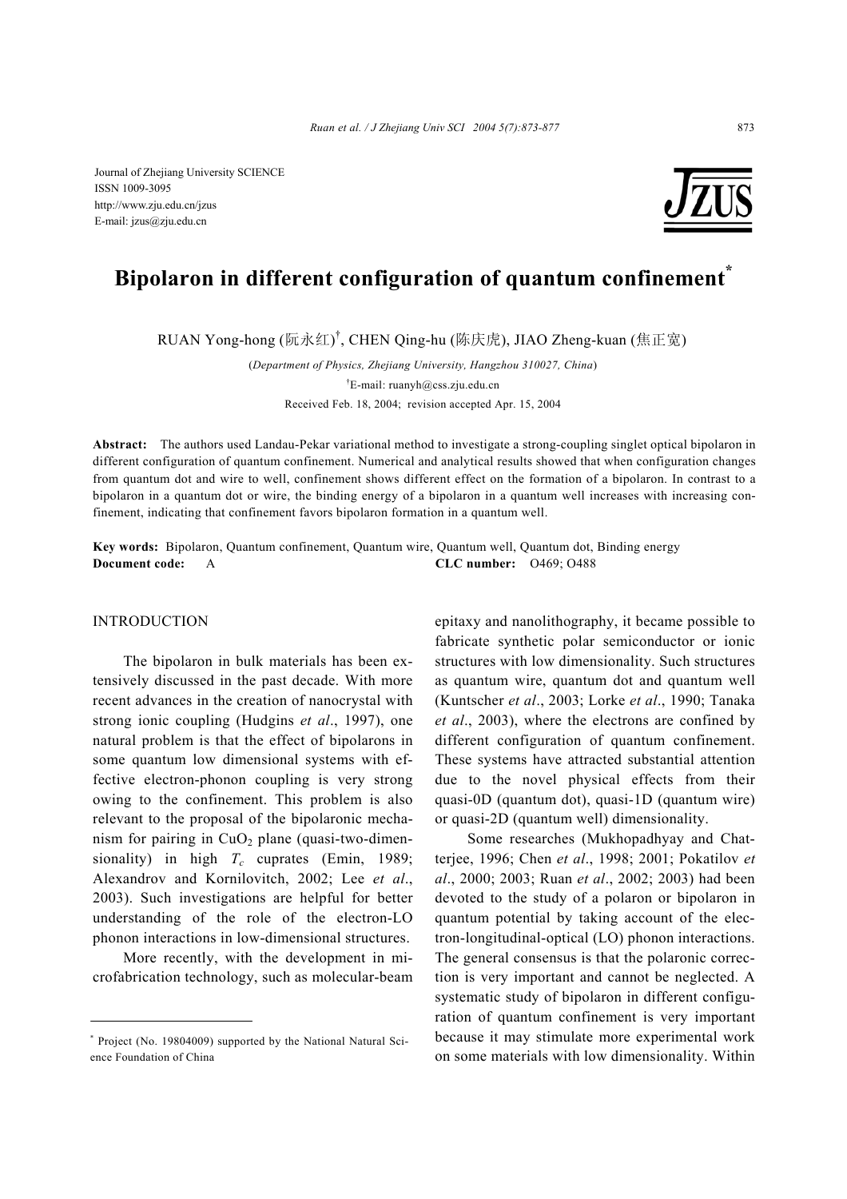Journal of Zhejiang University SCIENCE ISSN 1009-3095 http://www.zju.edu.cn/jzus E-mail: jzus@zju.edu.cn



# **Bipolaron in different configuration of quantum confinement\***

RUAN Yong-hong (阮永红)<sup>†</sup>, CHEN Qing-hu (陈庆虎), JIAO Zheng-kuan (焦正宽)

(*Department of Physics, Zhejiang University, Hangzhou 310027, China*) † E-mail: ruanyh@css.zju.edu.cn Received Feb. 18, 2004; revision accepted Apr. 15, 2004

**Abstract:** The authors used Landau-Pekar variational method to investigate a strong-coupling singlet optical bipolaron in different configuration of quantum confinement. Numerical and analytical results showed that when configuration changes from quantum dot and wire to well, confinement shows different effect on the formation of a bipolaron. In contrast to a bipolaron in a quantum dot or wire, the binding energy of a bipolaron in a quantum well increases with increasing confinement, indicating that confinement favors bipolaron formation in a quantum well.

**Key words:** Bipolaron, Quantum confinement, Quantum wire, Quantum well, Quantum dot, Binding energy **Document code:** A **CLC number:** O469; O488

#### INTRODUCTION

The bipolaron in bulk materials has been extensively discussed in the past decade. With more recent advances in the creation of nanocrystal with strong ionic coupling (Hudgins *et al*., 1997), one natural problem is that the effect of bipolarons in some quantum low dimensional systems with effective electron-phonon coupling is very strong owing to the confinement. This problem is also relevant to the proposal of the bipolaronic mechanism for pairing in  $CuO<sub>2</sub>$  plane (quasi-two-dimensionality) in high  $T_c$  cuprates (Emin, 1989; Alexandrov and Kornilovitch, 2002; Lee *et al*., 2003). Such investigations are helpful for better understanding of the role of the electron-LO phonon interactions in low-dimensional structures.

More recently, with the development in microfabrication technology, such as molecular-beam epitaxy and nanolithography, it became possible to fabricate synthetic polar semiconductor or ionic structures with low dimensionality. Such structures as quantum wire, quantum dot and quantum well (Kuntscher *et al*., 2003; Lorke *et al*., 1990; Tanaka *et al*., 2003), where the electrons are confined by different configuration of quantum confinement. These systems have attracted substantial attention due to the novel physical effects from their quasi-0D (quantum dot), quasi-1D (quantum wire) or quasi-2D (quantum well) dimensionality.

Some researches (Mukhopadhyay and Chatterjee, 1996; Chen *et al*., 1998; 2001; Pokatilov *et al*., 2000; 2003; Ruan *et al*., 2002; 2003) had been devoted to the study of a polaron or bipolaron in quantum potential by taking account of the electron-longitudinal-optical (LO) phonon interactions. The general consensus is that the polaronic correction is very important and cannot be neglected. A systematic study of bipolaron in different configuration of quantum confinement is very important because it may stimulate more experimental work on some materials with low dimensionality. Within

<sup>\*</sup> Project (No. 19804009) supported by the National Natural Science Foundation of China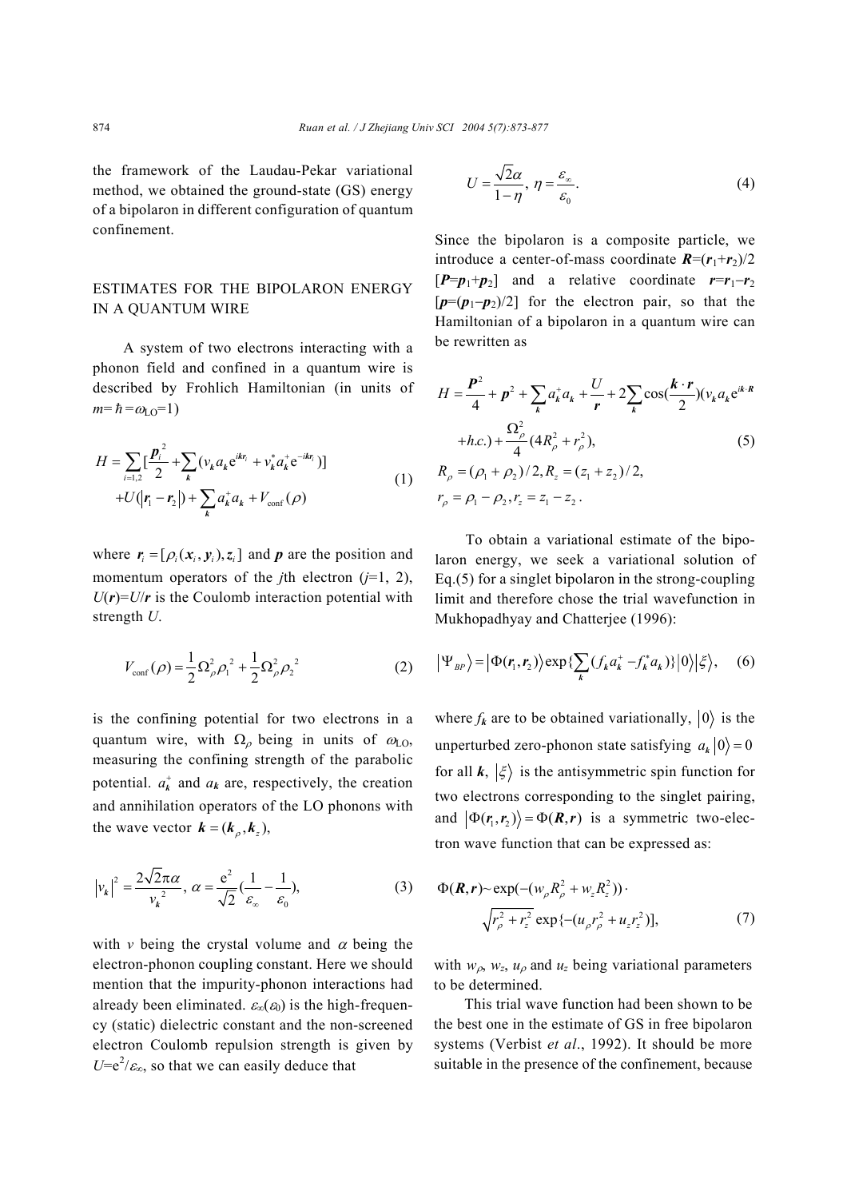the framework of the Laudau-Pekar variational method, we obtained the ground-state (GS) energy of a bipolaron in different configuration of quantum confinement.

# ESTIMATES FOR THE BIPOLARON ENERGY IN A QUANTUM WIRE

A system of two electrons interacting with a phonon field and confined in a quantum wire is described by Frohlich Hamiltonian (in units of  $m = \hbar = \omega_{\text{LO}} = 1$ )

$$
H = \sum_{i=1,2} \left[ \frac{\boldsymbol{p}_i^2}{2} + \sum_k (v_k a_k e^{ikr_i} + v_k^* a_k^+ e^{-ikr_i}) \right]
$$
  
+
$$
U(|\boldsymbol{r}_1 - \boldsymbol{r}_2|) + \sum_k a_k^+ a_k + V_{conf}(\rho)
$$
 (1)

where  $\mathbf{r}_i = [\rho_i(\mathbf{x}_i, \mathbf{y}_i), \mathbf{z}_i]$  and  $\mathbf{p}$  are the position and momentum operators of the *j*th electron  $(j=1, 2)$ ,  $U(r) = U/r$  is the Coulomb interaction potential with strength *U*.

$$
V_{\text{conf}}(\rho) = \frac{1}{2} \Omega_{\rho}^2 \rho_1^2 + \frac{1}{2} \Omega_{\rho}^2 \rho_2^2
$$
 (2)

is the confining potential for two electrons in a quantum wire, with  $\Omega$ <sub>ρ</sub> being in units of  $\omega$ <sub>LO</sub>, measuring the confining strength of the parabolic potential.  $a_k^+$  and  $a_k$  are, respectively, the creation and annihilation operators of the LO phonons with the wave vector  $\mathbf{k} = (\mathbf{k}_{\rho}, \mathbf{k}_{z}),$ 

$$
\left|v_k\right|^2 = \frac{2\sqrt{2}\pi\alpha}{v_k^2}, \ \alpha = \frac{e^2}{\sqrt{2}}\left(\frac{1}{\varepsilon_\infty} - \frac{1}{\varepsilon_0}\right),\tag{3}
$$

with *v* being the crystal volume and  $\alpha$  being the electron-phonon coupling constant. Here we should mention that the impurity-phonon interactions had already been eliminated.  $\varepsilon_{\infty}(\varepsilon_0)$  is the high-frequency (static) dielectric constant and the non-screened electron Coulomb repulsion strength is given by  $U=e^2/\varepsilon_{\infty}$ , so that we can easily deduce that

$$
U = \frac{\sqrt{2}\alpha}{1 - \eta}, \ \eta = \frac{\varepsilon_{\infty}}{\varepsilon_0}.
$$
 (4)

Since the bipolaron is a composite particle, we introduce a center-of-mass coordinate  $R = (r_1+r_2)/2$  $[P=p_1+p_2]$  and a relative coordinate  $r=r_1-r_2$ [*p*=(*p*1−*p*2)/2] for the electron pair, so that the Hamiltonian of a bipolaron in a quantum wire can be rewritten as

$$
H = \frac{P^2}{4} + p^2 + \sum_{k} a_k^+ a_k + \frac{U}{r} + 2\sum_{k} \cos(\frac{k \cdot r}{2}) (v_k a_k e^{ik \cdot R} + h.c.) + \frac{\Omega_p^2}{4} (4R_\rho^2 + r_\rho^2),
$$
\n
$$
R_\rho = (\rho_1 + \rho_2)/2, R_z = (z_1 + z_2)/2,
$$
\n
$$
r_\rho = \rho_1 - \rho_2, r_z = z_1 - z_2.
$$
\n(5)

To obtain a variational estimate of the bipolaron energy, we seek a variational solution of Eq.(5) for a singlet bipolaron in the strong-coupling limit and therefore chose the trial wavefunction in Mukhopadhyay and Chatterjee (1996):

$$
\left|\Psi_{BP}\right\rangle = \left|\Phi(r_1, r_2)\right\rangle \exp\left\{\sum_k (f_k a_k^+ - f_k^* a_k)\right\} \left|0\right\rangle \left|\xi\right\rangle, \quad (6)
$$

where  $f_k$  are to be obtained variationally,  $|0\rangle$  is the unperturbed zero-phonon state satisfying  $a_k |0\rangle = 0$ for all  $k, \xi$  is the antisymmetric spin function for two electrons corresponding to the singlet pairing, and  $|\Phi(r_1, r_2)\rangle = \Phi(R, r)$  is a symmetric two-electron wave function that can be expressed as:

$$
\Phi(\mathbf{R}, \mathbf{r}) \sim \exp(-(w_{\rho} R_{\rho}^2 + w_z R_z^2)) \cdot \sqrt{r_{\rho}^2 + r_z^2} \exp\{-(u_{\rho} r_{\rho}^2 + u_z r_z^2)\},
$$
\n(7)

with  $w_{\rho}$ ,  $w_z$ ,  $u_{\rho}$  and  $u_z$  being variational parameters to be determined.

This trial wave function had been shown to be the best one in the estimate of GS in free bipolaron systems (Verbist *et al*., 1992). It should be more suitable in the presence of the confinement, because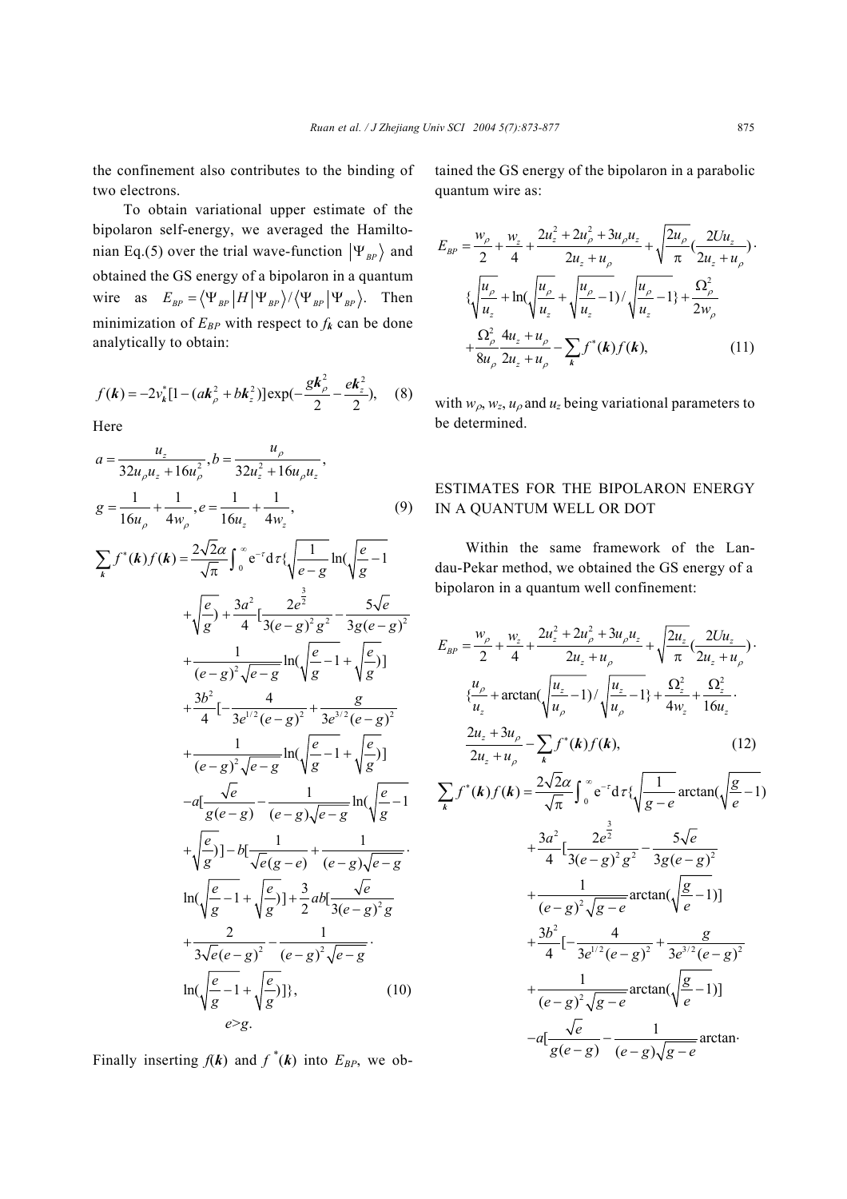the confinement also contributes to the binding of two electrons.

To obtain variational upper estimate of the bipolaron self-energy, we averaged the Hamiltonian Eq.(5) over the trial wave-function  $|\Psi_{BP}\rangle$  and obtained the GS energy of a bipolaron in a quantum wire as  $E_{BP} = \langle \Psi_{BP} | H | \Psi_{BP} \rangle / \langle \Psi_{BP} | \Psi_{BP} \rangle$ . Then minimization of  $E_{BP}$  with respect to  $f_k$  can be done analytically to obtain:

$$
f(\mathbf{k}) = -2v_{\mathbf{k}}^*[1 - (a\mathbf{k}_\rho^2 + b\mathbf{k}_z^2)]\exp(-\frac{g\mathbf{k}_\rho^2}{2} - \frac{e\mathbf{k}_z^2}{2}), \quad (8)
$$

Here

$$
a = \frac{u_z}{32u_\rho u_z + 16u_\rho^2}, b = \frac{u_\rho}{32u_z^2 + 16u_\rho u_z},
$$
  

$$
g = \frac{1}{16u_\rho} + \frac{1}{4w_\rho}, e = \frac{1}{16u_z} + \frac{1}{4w_z},
$$
 (9)

$$
\sum_{k} f^{*}(k) f(k) = \frac{2\sqrt{2}\alpha}{\sqrt{\pi}} \int_{0}^{\infty} e^{-t} d\tau \{\sqrt{\frac{1}{e-g}} \ln(\sqrt{\frac{e}{g}-1} + \sqrt{\frac{e}{g}}) + \frac{3a^{2}}{4} [\frac{2e^{2}}{3(e-g)^{2}g^{2}} - \frac{5\sqrt{e}}{3g(e-g)^{2}} + \frac{1}{(e-g)^{2}\sqrt{e-g}} \ln(\sqrt{\frac{e}{g}-1} + \sqrt{\frac{e}{g}})] + \frac{3b^{2}}{4} [-\frac{4}{3e^{1/2}(e-g)^{2}} + \frac{g}{3e^{3/2}(e-g)^{2}} + \frac{1}{(e-g)^{2}\sqrt{e-g}} \ln(\sqrt{\frac{e}{g}-1} + \sqrt{\frac{e}{g}})] - a[\frac{\sqrt{e}}{g(e-g)} - \frac{1}{(e-g)\sqrt{e-g}} \ln(\sqrt{\frac{e}{g}-1} + \sqrt{\frac{e}{g}})] - b[\frac{1}{\sqrt{e(g-e)}} + \frac{1}{(e-g)\sqrt{e-g}}] + \sqrt{\frac{e}{g}}] - b[\frac{1}{\sqrt{e(g-e)}} + \frac{1}{(e-g)\sqrt{e-g}}] + \frac{2}{3\sqrt{e(e-g)^{2}}} - \frac{1}{(e-g)^{2}\sqrt{e-g}}] + \frac{2}{3\sqrt{e(e-g)^{2}}} - \frac{1}{(e-g)^{2}\sqrt{e-g}}.
$$
\n
$$
\ln(\sqrt{\frac{e}{g}-1} + \sqrt{\frac{e}{g}})]
$$
\n
$$
\ln(\sqrt{\frac{e}{g}-1} + \sqrt{\frac{e}{g}})]
$$
\n
$$
\ln(\sqrt{\frac{e}{g}-1} + \sqrt{\frac{e}{g}})]
$$
\n
$$
\rho > g.
$$
\n(10)

Finally inserting  $f(k)$  and  $f^*(k)$  into  $E_{BP}$ , we ob-

tained the GS energy of the bipolaron in a parabolic quantum wire as:

$$
E_{BP} = \frac{w_{\rho}}{2} + \frac{w_{z}}{4} + \frac{2u_{z}^{2} + 2u_{\rho}^{2} + 3u_{\rho}u_{z}}{2u_{z} + u_{\rho}} + \sqrt{\frac{2u_{\rho}}{\pi}} \left(\frac{2Uu_{z}}{2u_{z} + u_{\rho}}\right) \cdot \left(\sqrt{\frac{u_{\rho}}{u_{z}}} + \ln\left(\sqrt{\frac{u_{\rho}}{u_{z}}} + \sqrt{\frac{u_{\rho}}{u_{z}}} - 1\right) / \sqrt{\frac{u_{\rho}}{u_{z}}} - 1\right) + \frac{\Omega_{\rho}^{2}}{2w_{\rho}} + \frac{\Omega_{\rho}^{2}}{8u_{\rho}} \frac{4u_{z} + u_{\rho}}{2u_{z} + u_{\rho}} - \sum_{k} f^{*}(k) f(k), \tag{11}
$$

with  $w_{\rho}$ ,  $w_z$ ,  $u_{\rho}$  and  $u_z$  being variational parameters to be determined.

## ESTIMATES FOR THE BIPOLARON ENERGY IN A QUANTUM WELL OR DOT

Within the same framework of the Landau-Pekar method, we obtained the GS energy of a bipolaron in a quantum well confinement:

$$
E_{BP} = \frac{w_{\rho}}{2} + \frac{w_{z}}{4} + \frac{2u_{z}^{2} + 2u_{\rho}^{2} + 3u_{\rho}u_{z}}{2u_{z} + u_{\rho}} + \sqrt{\frac{2u_{z}}{\pi}}(\frac{2Uu_{z}}{2u_{z} + u_{\rho}}) \cdot \frac{u_{\rho}}{u_{z}} + \arctan(\sqrt{\frac{u_{z}}{u_{\rho}} - 1}) / \sqrt{\frac{u_{z}}{u_{\rho}} - 1} + \frac{\Omega_{z}^{2}}{4w_{z}} + \frac{\Omega_{z}^{2}}{16u_{z}} \cdot \frac{2u_{z} + 3u_{\rho}}{2u_{z} + u_{\rho}} - \sum_{k} f^{*}(k) f(k), \qquad (12)
$$

$$
\sum_{k} f^{*}(k) f(k) = \frac{2\sqrt{2\alpha}}{\sqrt{\pi}} \int_{0}^{\infty} e^{-r} d\tau \{\sqrt{\frac{1}{g-e} \arctan(\sqrt{\frac{g}{e}}-1)}\n+ \frac{3a^{2}}{4} \left[\frac{2e^{\frac{3}{2}}}{3(e-g)^{2}g^{2}} - \frac{5\sqrt{e}}{3g(e-g)^{2}}\n+ \frac{1}{(e-g)^{2}\sqrt{g-e}} \arctan(\sqrt{\frac{g}{e}-1})\right]\n+ \frac{3b^{2}}{4} \left[-\frac{4}{3e^{1/2}(e-g)^{2}} + \frac{g}{3e^{3/2}(e-g)^{2}}\n+ \frac{1}{(e-g)^{2}\sqrt{g-e}} \arctan(\sqrt{\frac{g}{e}-1})\right]\n- a\left[\frac{\sqrt{e}}{g(e-g)} - \frac{1}{(e-g)\sqrt{g-e}} \arctan\left(\frac{\sqrt{e}}{g(e-g)}\right)\right]
$$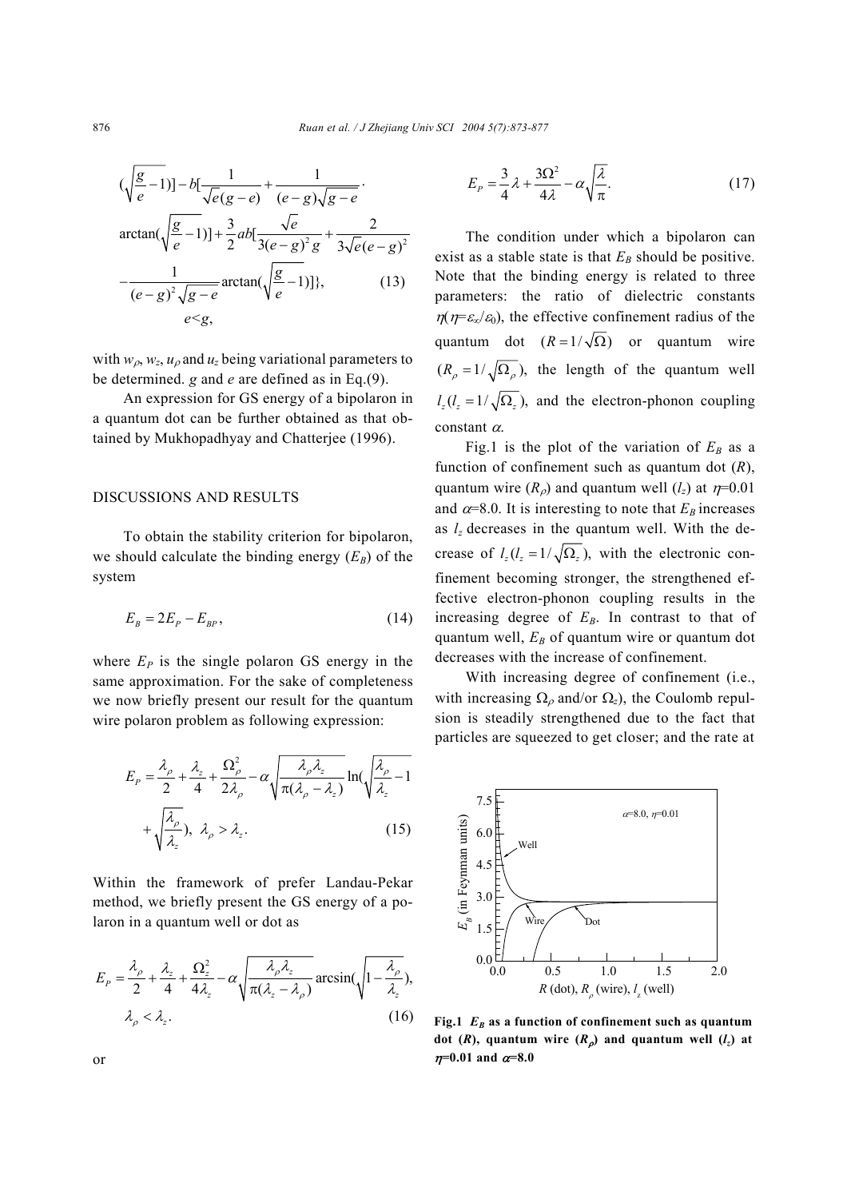$$
(\sqrt{\frac{g}{e}-1})] - b[\frac{1}{\sqrt{e}(g-e)} + \frac{1}{(e-g)\sqrt{g-e}} \cdot \arctan(\sqrt{\frac{g}{e}-1})] + \frac{3}{2}ab[\frac{\sqrt{e}}{3(e-g)^2g} + \frac{2}{3\sqrt{e}(e-g)^2} - \frac{1}{(e-g)^2\sqrt{g-e}} \arctan(\sqrt{\frac{g}{e}-1})]\},
$$
(13)  
 $e < g$ ,

with  $w_{\rho}, w_z, u_{\rho}$  and  $u_z$  being variational parameters to be determined. *g* and *e* are defined as in Eq.(9).

An expression for GS energy of a bipolaron in a quantum dot can be further obtained as that obtained by Mukhopadhyay and Chatterjee (1996).

### DISCUSSIONS AND RESULTS

To obtain the stability criterion for bipolaron, we should calculate the binding energy  $(E_B)$  of the system

$$
E_B = 2E_P - E_{BP},\tag{14}
$$

where  $E_P$  is the single polaron GS energy in the same approximation. For the sake of completeness we now briefly present our result for the quantum wire polaron problem as following expression:

$$
E_{P} = \frac{\lambda_{\rho}}{2} + \frac{\lambda_{z}}{4} + \frac{\Omega_{\rho}^{2}}{2\lambda_{\rho}} - \alpha \sqrt{\frac{\lambda_{\rho}\lambda_{z}}{\pi(\lambda_{\rho} - \lambda_{z})}} \ln(\sqrt{\frac{\lambda_{\rho}}{\lambda_{z}} - 1} + \sqrt{\frac{\lambda_{\rho}}{\lambda_{z}}}), \quad \lambda_{\rho} > \lambda_{z}.
$$
\n(15)

Within the framework of prefer Landau-Pekar method, we briefly present the GS energy of a polaron in a quantum well or dot as

$$
E_{P} = \frac{\lambda_{\rho}}{2} + \frac{\lambda_{z}}{4} + \frac{\Omega_{z}^{2}}{4\lambda_{z}} - \alpha \sqrt{\frac{\lambda_{\rho}\lambda_{z}}{\pi(\lambda_{z} - \lambda_{\rho})}} \arcsin(\sqrt{1 - \frac{\lambda_{\rho}}{\lambda_{z}}}),
$$
  

$$
\lambda_{\rho} < \lambda_{z}.
$$
 (16)

$$
E_p = \frac{3}{4}\lambda + \frac{3\Omega^2}{4\lambda} - \alpha \sqrt{\frac{\lambda}{\pi}}.
$$
 (17)

The condition under which a bipolaron can exist as a stable state is that  $E_B$  should be positive. Note that the binding energy is related to three parameters: the ratio of dielectric constants  $\eta(\eta = \varepsilon_{\infty}/\varepsilon_0)$ , the effective confinement radius of the quantum dot  $(R = 1/\sqrt{\Omega})$  or quantum wire  $(R_{\rho} = 1/\sqrt{\Omega_{\rho}})$ , the length of the quantum well  $l_z (l_z = 1/\sqrt{\Omega_z})$ , and the electron-phonon coupling constant  $\alpha$ .

Fig.1 is the plot of the variation of  $E_B$  as a function of confinement such as quantum dot (*R*), quantum wire  $(R_{\rho})$  and quantum well  $(l_z)$  at  $n=0.01$ and  $\alpha$ =8.0. It is interesting to note that  $E_B$  increases as *lz* decreases in the quantum well. With the decrease of  $l_z(l_z = 1/\sqrt{\Omega_z})$ , with the electronic confinement becoming stronger, the strengthened effective electron-phonon coupling results in the increasing degree of  $E_B$ . In contrast to that of quantum well,  $E_B$  of quantum wire or quantum dot decreases with the increase of confinement.

With increasing degree of confinement (i.e., with increasing  $\Omega_0$  and/or  $\Omega_z$ ), the Coulomb repulsion is steadily strengthened due to the fact that particles are squeezed to get closer; and the rate at



Fig.1  $E_B$  as a function of confinement such as quantum **dot** (*R*), quantum wire  $(R_{\rho})$  and quantum well  $(l_z)$  at  $η=0.01$  and  $α=8.0$ 

or